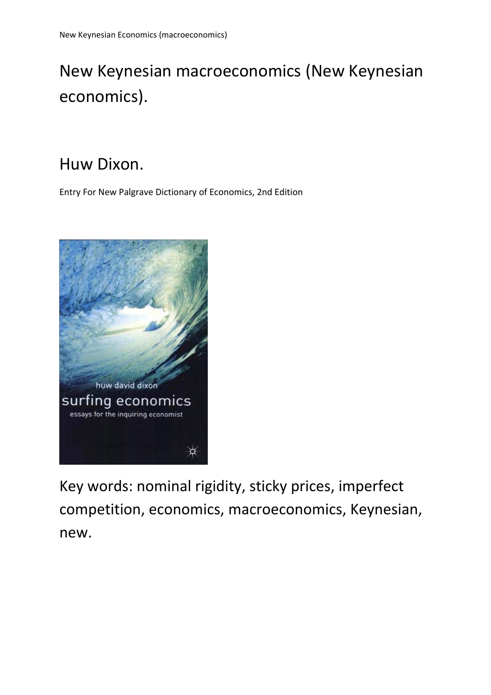# New Keynesian macroeconomics (New Keynesian economics).

# Huw Dixon.

Entry For New Palgrave Dictionary of Economics, 2nd Edition



Key words: nominal rigidity, sticky prices, imperfect competition, economics, macroeconomics, Keynesian, new.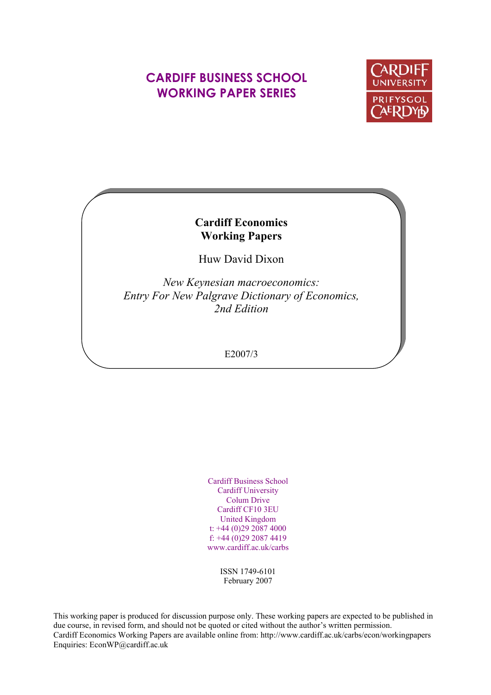# **CARDIFF BUSINESS SCHOOL WORKING PAPER SERIES**



# **Cardiff Economics Working Papers**

Huw David Dixon

*New Keynesian macroeconomics: Entry For New Palgrave Dictionary of Economics, 2nd Edition*

### E2007/3

Cardiff Business School Cardiff University Colum Drive Cardiff CF10 3EU United Kingdom t: +44 (0)29 2087 4000 f: +44 (0)29 2087 4419 www.cardiff.ac.uk/carbs

> ISSN 1749-6101 February 2007

This working paper is produced for discussion purpose only. These working papers are expected to be published in due course, in revised form, and should not be quoted or cited without the author's written permission. Cardiff Economics Working Papers are available online from: http://www.cardiff.ac.uk/carbs/econ/workingpapers Enquiries: EconWP@cardiff.ac.uk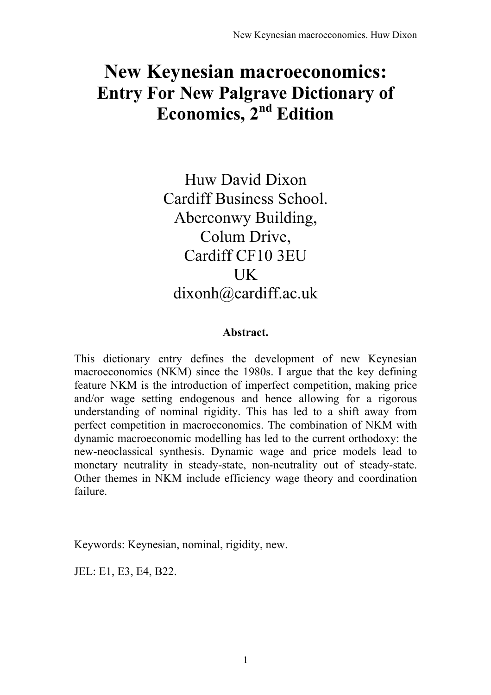# **New Keynesian macroeconomics: Entry For New Palgrave Dictionary of** Economics, 2<sup>nd</sup> Edition

Huw David Dixon Cardiff Business School. Aberconwy Building, Colum Drive, Cardiff CF10 3EU UK dixonh@cardiff.ac.uk

## **Abstract.**

This dictionary entry defines the development of new Keynesian macroeconomics (NKM) since the 1980s. I argue that the key defining feature NKM is the introduction of imperfect competition, making price and/or wage setting endogenous and hence allowing for a rigorous understanding of nominal rigidity. This has led to a shift away from perfect competition in macroeconomics. The combination of NKM with dynamic macroeconomic modelling has led to the current orthodoxy: the new-neoclassical synthesis. Dynamic wage and price models lead to monetary neutrality in steady-state, non-neutrality out of steady-state. Other themes in NKM include efficiency wage theory and coordination failure.

Keywords: Keynesian, nominal, rigidity, new.

JEL: E1, E3, E4, B22.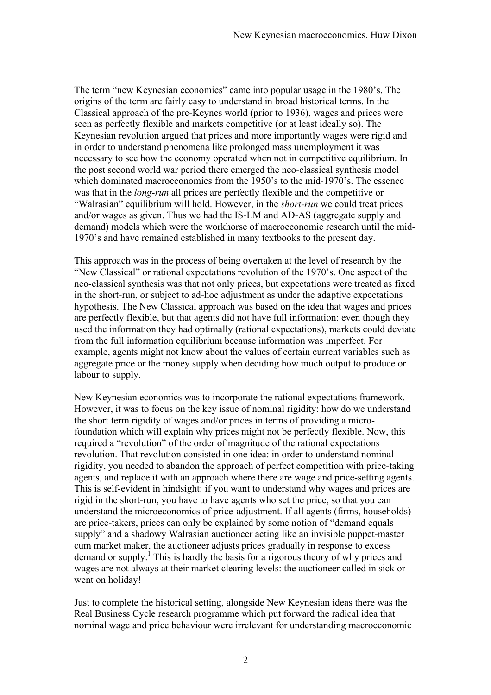The term "new Keynesian economics" came into popular usage in the 1980's. The origins of the term are fairly easy to understand in broad historical terms. In the Classical approach of the pre-Keynes world (prior to 1936), wages and prices were seen as perfectly flexible and markets competitive (or at least ideally so). The Keynesian revolution argued that prices and more importantly wages were rigid and in order to understand phenomena like prolonged mass unemployment it was necessary to see how the economy operated when not in competitive equilibrium. In the post second world war period there emerged the neo-classical synthesis model which dominated macroeconomics from the 1950's to the mid-1970's. The essence was that in the *long-run* all prices are perfectly flexible and the competitive or ìWalrasianî equilibrium will hold. However, in the *short-run* we could treat prices and/or wages as given. Thus we had the IS-LM and AD-AS (aggregate supply and demand) models which were the workhorse of macroeconomic research until the mid-1970ís and have remained established in many textbooks to the present day.

This approach was in the process of being overtaken at the level of research by the "New Classical" or rational expectations revolution of the 1970's. One aspect of the neo-classical synthesis was that not only prices, but expectations were treated as fixed in the short-run, or subject to ad-hoc adjustment as under the adaptive expectations hypothesis. The New Classical approach was based on the idea that wages and prices are perfectly flexible, but that agents did not have full information: even though they used the information they had optimally (rational expectations), markets could deviate from the full information equilibrium because information was imperfect. For example, agents might not know about the values of certain current variables such as aggregate price or the money supply when deciding how much output to produce or labour to supply.

New Keynesian economics was to incorporate the rational expectations framework. However, it was to focus on the key issue of nominal rigidity: how do we understand the short term rigidity of wages and/or prices in terms of providing a microfoundation which will explain why prices might not be perfectly flexible. Now, this required a "revolution" of the order of magnitude of the rational expectations revolution. That revolution consisted in one idea: in order to understand nominal rigidity, you needed to abandon the approach of perfect competition with price-taking agents, and replace it with an approach where there are wage and price-setting agents. This is self-evident in hindsight: if you want to understand why wages and prices are rigid in the short-run, you have to have agents who set the price, so that you can understand the microeconomics of price-adjustment. If all agents (firms, households) are price-takers, prices can only be explained by some notion of "demand equals" supply" and a shadowy Walrasian auctioneer acting like an invisible puppet-master cum market maker, the auctioneer adjusts prices gradually in response to excess demand or supply.<sup>1</sup> This is hardly the basis for a rigorous theory of why prices and wages are not always at their market clearing levels: the auctioneer called in sick or went on holiday!

Just to complete the historical setting, alongside New Keynesian ideas there was the Real Business Cycle research programme which put forward the radical idea that nominal wage and price behaviour were irrelevant for understanding macroeconomic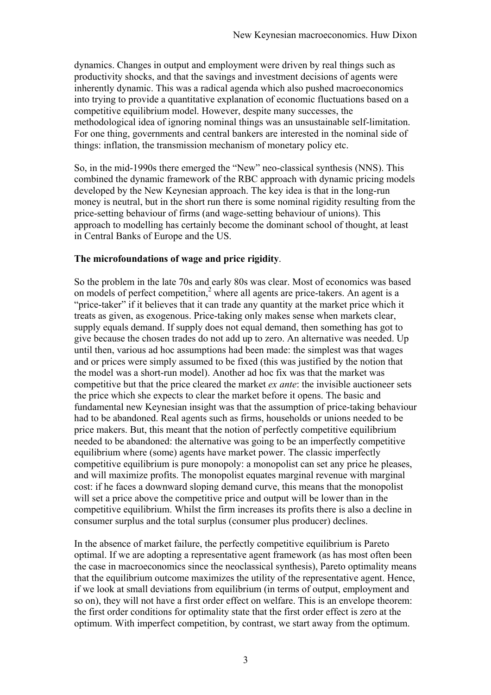dynamics. Changes in output and employment were driven by real things such as productivity shocks, and that the savings and investment decisions of agents were inherently dynamic. This was a radical agenda which also pushed macroeconomics into trying to provide a quantitative explanation of economic fluctuations based on a competitive equilibrium model. However, despite many successes, the methodological idea of ignoring nominal things was an unsustainable self-limitation. For one thing, governments and central bankers are interested in the nominal side of things: inflation, the transmission mechanism of monetary policy etc.

So, in the mid-1990s there emerged the "New" neo-classical synthesis (NNS). This combined the dynamic framework of the RBC approach with dynamic pricing models developed by the New Keynesian approach. The key idea is that in the long-run money is neutral, but in the short run there is some nominal rigidity resulting from the price-setting behaviour of firms (and wage-setting behaviour of unions). This approach to modelling has certainly become the dominant school of thought, at least in Central Banks of Europe and the US.

#### **The microfoundations of wage and price rigidity**.

So the problem in the late 70s and early 80s was clear. Most of economics was based on models of perfect competition, $2$  where all agents are price-takers. An agent is a "price-taker" if it believes that it can trade any quantity at the market price which it treats as given, as exogenous. Price-taking only makes sense when markets clear, supply equals demand. If supply does not equal demand, then something has got to give because the chosen trades do not add up to zero. An alternative was needed. Up until then, various ad hoc assumptions had been made: the simplest was that wages and or prices were simply assumed to be fixed (this was justified by the notion that the model was a short-run model). Another ad hoc fix was that the market was competitive but that the price cleared the market *ex ante*: the invisible auctioneer sets the price which she expects to clear the market before it opens. The basic and fundamental new Keynesian insight was that the assumption of price-taking behaviour had to be abandoned. Real agents such as firms, households or unions needed to be price makers. But, this meant that the notion of perfectly competitive equilibrium needed to be abandoned: the alternative was going to be an imperfectly competitive equilibrium where (some) agents have market power. The classic imperfectly competitive equilibrium is pure monopoly: a monopolist can set any price he pleases, and will maximize profits. The monopolist equates marginal revenue with marginal cost: if he faces a downward sloping demand curve, this means that the monopolist will set a price above the competitive price and output will be lower than in the competitive equilibrium. Whilst the firm increases its profits there is also a decline in consumer surplus and the total surplus (consumer plus producer) declines.

In the absence of market failure, the perfectly competitive equilibrium is Pareto optimal. If we are adopting a representative agent framework (as has most often been the case in macroeconomics since the neoclassical synthesis), Pareto optimality means that the equilibrium outcome maximizes the utility of the representative agent. Hence, if we look at small deviations from equilibrium (in terms of output, employment and so on), they will not have a first order effect on welfare. This is an envelope theorem: the first order conditions for optimality state that the first order effect is zero at the optimum. With imperfect competition, by contrast, we start away from the optimum.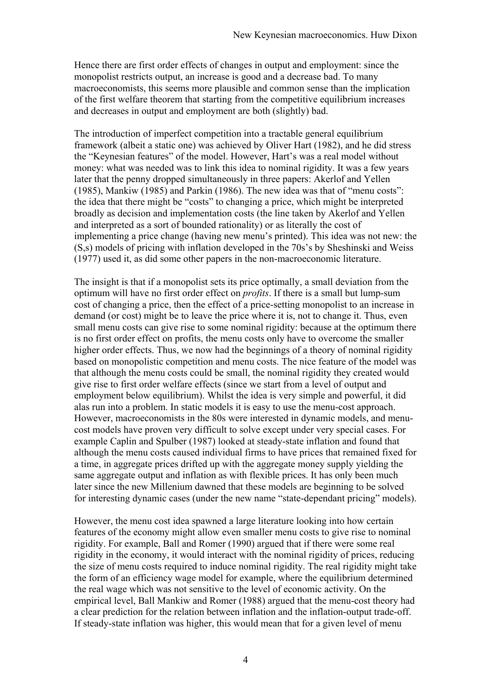Hence there are first order effects of changes in output and employment: since the monopolist restricts output, an increase is good and a decrease bad. To many macroeconomists, this seems more plausible and common sense than the implication of the first welfare theorem that starting from the competitive equilibrium increases and decreases in output and employment are both (slightly) bad.

The introduction of imperfect competition into a tractable general equilibrium framework (albeit a static one) was achieved by Oliver Hart (1982), and he did stress the "Keynesian features" of the model. However, Hart's was a real model without money: what was needed was to link this idea to nominal rigidity. It was a few years later that the penny dropped simultaneously in three papers: Akerlof and Yellen (1985), Mankiw (1985) and Parkin (1986). The new idea was that of "menu costs": the idea that there might be "costs" to changing a price, which might be interpreted broadly as decision and implementation costs (the line taken by Akerlof and Yellen and interpreted as a sort of bounded rationality) or as literally the cost of implementing a price change (having new menu's printed). This idea was not new: the  $(S,s)$  models of pricing with inflation developed in the 70s's by Sheshinski and Weiss (1977) used it, as did some other papers in the non-macroeconomic literature.

The insight is that if a monopolist sets its price optimally, a small deviation from the optimum will have no first order effect on *profits*. If there is a small but lump-sum cost of changing a price, then the effect of a price-setting monopolist to an increase in demand (or cost) might be to leave the price where it is, not to change it. Thus, even small menu costs can give rise to some nominal rigidity: because at the optimum there is no first order effect on profits, the menu costs only have to overcome the smaller higher order effects. Thus, we now had the beginnings of a theory of nominal rigidity based on monopolistic competition and menu costs. The nice feature of the model was that although the menu costs could be small, the nominal rigidity they created would give rise to first order welfare effects (since we start from a level of output and employment below equilibrium). Whilst the idea is very simple and powerful, it did alas run into a problem. In static models it is easy to use the menu-cost approach. However, macroeconomists in the 80s were interested in dynamic models, and menucost models have proven very difficult to solve except under very special cases. For example Caplin and Spulber (1987) looked at steady-state inflation and found that although the menu costs caused individual firms to have prices that remained fixed for a time, in aggregate prices drifted up with the aggregate money supply yielding the same aggregate output and inflation as with flexible prices. It has only been much later since the new Millenium dawned that these models are beginning to be solved for interesting dynamic cases (under the new name "state-dependant pricing" models).

However, the menu cost idea spawned a large literature looking into how certain features of the economy might allow even smaller menu costs to give rise to nominal rigidity. For example, Ball and Romer (1990) argued that if there were some real rigidity in the economy, it would interact with the nominal rigidity of prices, reducing the size of menu costs required to induce nominal rigidity. The real rigidity might take the form of an efficiency wage model for example, where the equilibrium determined the real wage which was not sensitive to the level of economic activity. On the empirical level, Ball Mankiw and Romer (1988) argued that the menu-cost theory had a clear prediction for the relation between inflation and the inflation-output trade-off. If steady-state inflation was higher, this would mean that for a given level of menu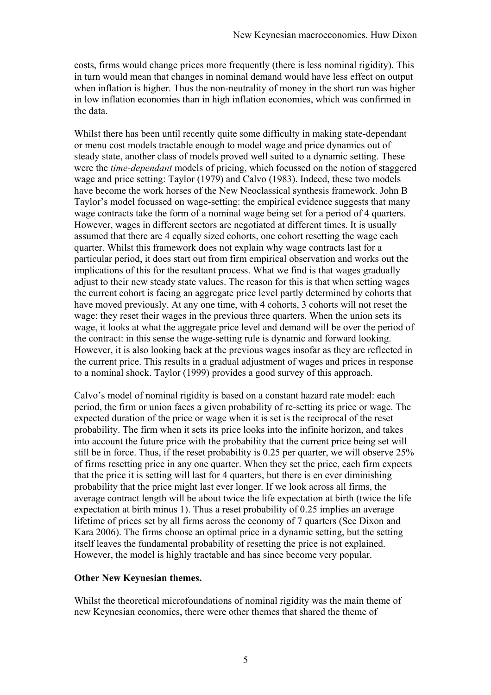costs, firms would change prices more frequently (there is less nominal rigidity). This in turn would mean that changes in nominal demand would have less effect on output when inflation is higher. Thus the non-neutrality of money in the short run was higher in low inflation economies than in high inflation economies, which was confirmed in the data.

Whilst there has been until recently quite some difficulty in making state-dependant or menu cost models tractable enough to model wage and price dynamics out of steady state, another class of models proved well suited to a dynamic setting. These were the *time-dependant* models of pricing, which focussed on the notion of staggered wage and price setting: Taylor (1979) and Calvo (1983). Indeed, these two models have become the work horses of the New Neoclassical synthesis framework. John B Taylor's model focussed on wage-setting: the empirical evidence suggests that many wage contracts take the form of a nominal wage being set for a period of 4 quarters. However, wages in different sectors are negotiated at different times. It is usually assumed that there are 4 equally sized cohorts, one cohort resetting the wage each quarter. Whilst this framework does not explain why wage contracts last for a particular period, it does start out from firm empirical observation and works out the implications of this for the resultant process. What we find is that wages gradually adjust to their new steady state values. The reason for this is that when setting wages the current cohort is facing an aggregate price level partly determined by cohorts that have moved previously. At any one time, with 4 cohorts, 3 cohorts will not reset the wage: they reset their wages in the previous three quarters. When the union sets its wage, it looks at what the aggregate price level and demand will be over the period of the contract: in this sense the wage-setting rule is dynamic and forward looking. However, it is also looking back at the previous wages insofar as they are reflected in the current price. This results in a gradual adjustment of wages and prices in response to a nominal shock. Taylor (1999) provides a good survey of this approach.

Calvo's model of nominal rigidity is based on a constant hazard rate model: each period, the firm or union faces a given probability of re-setting its price or wage. The expected duration of the price or wage when it is set is the reciprocal of the reset probability. The firm when it sets its price looks into the infinite horizon, and takes into account the future price with the probability that the current price being set will still be in force. Thus, if the reset probability is 0.25 per quarter, we will observe 25% of firms resetting price in any one quarter. When they set the price, each firm expects that the price it is setting will last for 4 quarters, but there is en ever diminishing probability that the price might last ever longer. If we look across all firms, the average contract length will be about twice the life expectation at birth (twice the life expectation at birth minus 1). Thus a reset probability of 0.25 implies an average lifetime of prices set by all firms across the economy of 7 quarters (See Dixon and Kara 2006). The firms choose an optimal price in a dynamic setting, but the setting itself leaves the fundamental probability of resetting the price is not explained. However, the model is highly tractable and has since become very popular.

#### **Other New Keynesian themes.**

Whilst the theoretical microfoundations of nominal rigidity was the main theme of new Keynesian economics, there were other themes that shared the theme of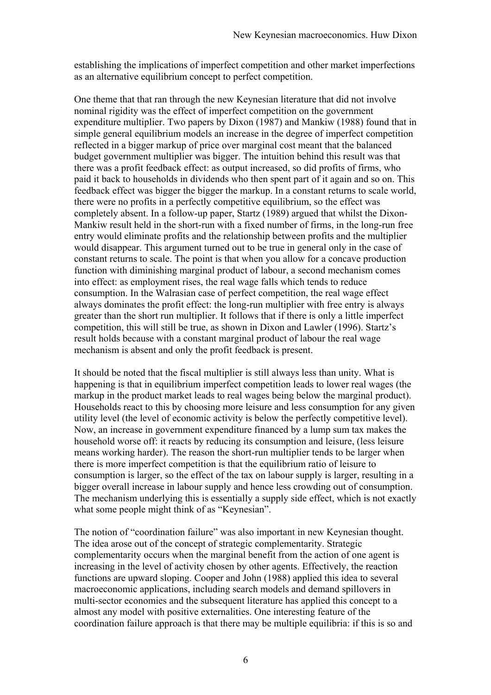establishing the implications of imperfect competition and other market imperfections as an alternative equilibrium concept to perfect competition.

One theme that that ran through the new Keynesian literature that did not involve nominal rigidity was the effect of imperfect competition on the government expenditure multiplier. Two papers by Dixon (1987) and Mankiw (1988) found that in simple general equilibrium models an increase in the degree of imperfect competition reflected in a bigger markup of price over marginal cost meant that the balanced budget government multiplier was bigger. The intuition behind this result was that there was a profit feedback effect: as output increased, so did profits of firms, who paid it back to households in dividends who then spent part of it again and so on. This feedback effect was bigger the bigger the markup. In a constant returns to scale world, there were no profits in a perfectly competitive equilibrium, so the effect was completely absent. In a follow-up paper, Startz (1989) argued that whilst the Dixon-Mankiw result held in the short-run with a fixed number of firms, in the long-run free entry would eliminate profits and the relationship between profits and the multiplier would disappear. This argument turned out to be true in general only in the case of constant returns to scale. The point is that when you allow for a concave production function with diminishing marginal product of labour, a second mechanism comes into effect: as employment rises, the real wage falls which tends to reduce consumption. In the Walrasian case of perfect competition, the real wage effect always dominates the profit effect: the long-run multiplier with free entry is always greater than the short run multiplier. It follows that if there is only a little imperfect competition, this will still be true, as shown in Dixon and Lawler (1996). Startz's result holds because with a constant marginal product of labour the real wage mechanism is absent and only the profit feedback is present.

It should be noted that the fiscal multiplier is still always less than unity. What is happening is that in equilibrium imperfect competition leads to lower real wages (the markup in the product market leads to real wages being below the marginal product). Households react to this by choosing more leisure and less consumption for any given utility level (the level of economic activity is below the perfectly competitive level). Now, an increase in government expenditure financed by a lump sum tax makes the household worse off: it reacts by reducing its consumption and leisure, (less leisure means working harder). The reason the short-run multiplier tends to be larger when there is more imperfect competition is that the equilibrium ratio of leisure to consumption is larger, so the effect of the tax on labour supply is larger, resulting in a bigger overall increase in labour supply and hence less crowding out of consumption. The mechanism underlying this is essentially a supply side effect, which is not exactly what some people might think of as "Keynesian".

The notion of "coordination failure" was also important in new Keynesian thought. The idea arose out of the concept of strategic complementarity. Strategic complementarity occurs when the marginal benefit from the action of one agent is increasing in the level of activity chosen by other agents. Effectively, the reaction functions are upward sloping. Cooper and John (1988) applied this idea to several macroeconomic applications, including search models and demand spillovers in multi-sector economies and the subsequent literature has applied this concept to a almost any model with positive externalities. One interesting feature of the coordination failure approach is that there may be multiple equilibria: if this is so and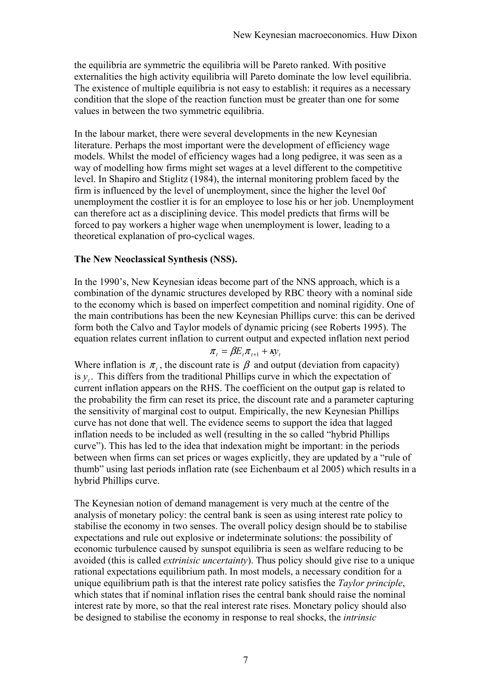the equilibria are symmetric the equilibria will be Pareto ranked. With positive externalities the high activity equilibria will Pareto dominate the low level equilibria. The existence of multiple equilibria is not easy to establish: it requires as a necessary condition that the slope of the reaction function must be greater than one for some values in between the two symmetric equilibria.

In the labour market, there were several developments in the new Keynesian literature. Perhaps the most important were the development of efficiency wage models. Whilst the model of efficiency wages had a long pedigree, it was seen as a way of modelling how firms might set wages at a level different to the competitive level. In Shapiro and Stiglitz (1984), the internal monitoring problem faced by the firm is influenced by the level of unemployment, since the higher the level 0of unemployment the costlier it is for an employee to lose his or her job. Unemployment can therefore act as a disciplining device. This model predicts that firms will be forced to pay workers a higher wage when unemployment is lower, leading to a theoretical explanation of pro-cyclical wages.

### **The New Neoclassical Synthesis (NSS).**

In the 1990's, New Keynesian ideas become part of the NNS approach, which is a combination of the dynamic structures developed by RBC theory with a nominal side to the economy which is based on imperfect competition and nominal rigidity. One of the main contributions has been the new Keynesian Phillips curve: this can be derived form both the Calvo and Taylor models of dynamic pricing (see Roberts 1995). The equation relates current inflation to current output and expected inflation next period

 $\pi_t = \beta E_t \pi_{t+1} + \kappa y_t$ 

Where inflation is  $\pi$ , the discount rate is  $\beta$  and output (deviation from capacity) is  $y_t$ . This differs from the traditional Phillips curve in which the expectation of current inflation appears on the RHS. The coefficient on the output gap is related to the probability the firm can reset its price, the discount rate and a parameter capturing the sensitivity of marginal cost to output. Empirically, the new Keynesian Phillips curve has not done that well. The evidence seems to support the idea that lagged inflation needs to be included as well (resulting in the so called "hybrid Phillips" curve"). This has led to the idea that indexation might be important: in the periods between when firms can set prices or wages explicitly, they are updated by a "rule of thumb" using last periods inflation rate (see Eichenbaum et al 2005) which results in a hybrid Phillips curve.

The Keynesian notion of demand management is very much at the centre of the analysis of monetary policy: the central bank is seen as using interest rate policy to stabilise the economy in two senses. The overall policy design should be to stabilise expectations and rule out explosive or indeterminate solutions: the possibility of economic turbulence caused by sunspot equilibria is seen as welfare reducing to be avoided (this is called *extrinisic uncertainty*). Thus policy should give rise to a unique rational expectations equilibrium path. In most models, a necessary condition for a unique equilibrium path is that the interest rate policy satisfies the *Taylor principle*, which states that if nominal inflation rises the central bank should raise the nominal interest rate by more, so that the real interest rate rises. Monetary policy should also be designed to stabilise the economy in response to real shocks, the *intrinsic*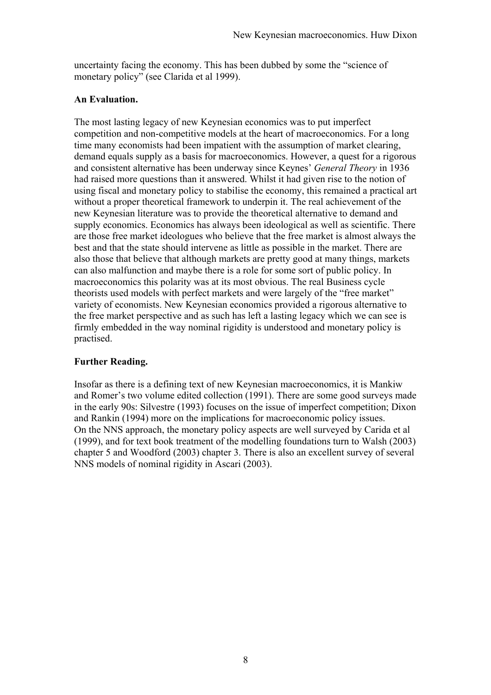uncertainty facing the economy. This has been dubbed by some the "science of monetary policy" (see Clarida et al 1999).

### **An Evaluation.**

The most lasting legacy of new Keynesian economics was to put imperfect competition and non-competitive models at the heart of macroeconomics. For a long time many economists had been impatient with the assumption of market clearing, demand equals supply as a basis for macroeconomics. However, a quest for a rigorous and consistent alternative has been underway since Keynes' *General Theory* in 1936 had raised more questions than it answered. Whilst it had given rise to the notion of using fiscal and monetary policy to stabilise the economy, this remained a practical art without a proper theoretical framework to underpin it. The real achievement of the new Keynesian literature was to provide the theoretical alternative to demand and supply economics. Economics has always been ideological as well as scientific. There are those free market ideologues who believe that the free market is almost always the best and that the state should intervene as little as possible in the market. There are also those that believe that although markets are pretty good at many things, markets can also malfunction and maybe there is a role for some sort of public policy. In macroeconomics this polarity was at its most obvious. The real Business cycle theorists used models with perfect markets and were largely of the "free market" variety of economists. New Keynesian economics provided a rigorous alternative to the free market perspective and as such has left a lasting legacy which we can see is firmly embedded in the way nominal rigidity is understood and monetary policy is practised.

## **Further Reading.**

Insofar as there is a defining text of new Keynesian macroeconomics, it is Mankiw and Romer's two volume edited collection (1991). There are some good surveys made in the early 90s: Silvestre (1993) focuses on the issue of imperfect competition; Dixon and Rankin (1994) more on the implications for macroeconomic policy issues. On the NNS approach, the monetary policy aspects are well surveyed by Carida et al (1999), and for text book treatment of the modelling foundations turn to Walsh (2003) chapter 5 and Woodford (2003) chapter 3. There is also an excellent survey of several NNS models of nominal rigidity in Ascari (2003).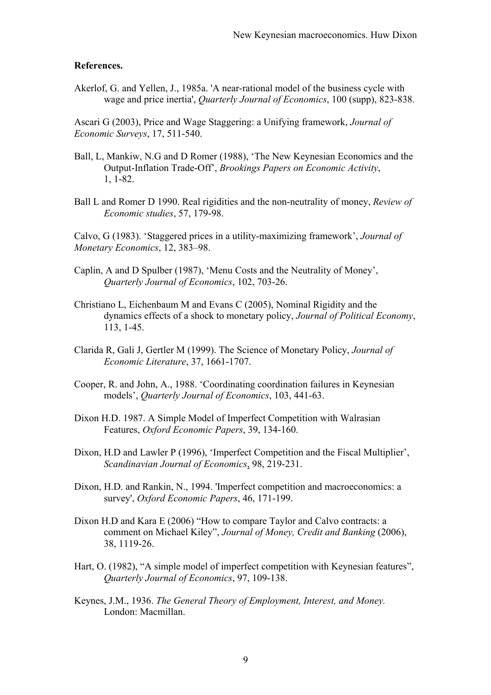#### **References.**

Akerlof, G. and Yellen, J., 1985a. 'A near-rational model of the business cycle with wage and price inertia', *Quarterly Journal of Economics*, 100 (supp), 823-838.

Ascari G (2003), Price and Wage Staggering: a Unifying framework, *Journal of Economic Surveys*, 17, 511-540.

- Ball, L, Mankiw, N.G and D Romer (1988), 'The New Keynesian Economics and the Output-Inflation Trade-Offí, *Brookings Papers on Economic Activity*, 1, 1-82.
- Ball L and Romer D 1990. Real rigidities and the non-neutrality of money, *Review of Economic studies*, 57, 179-98.

Calvo, G (1983). 'Staggered prices in a utility-maximizing framework', *Journal of Monetary Economics*, 12, 383-98.

- Caplin, A and D Spulber (1987), 'Menu Costs and the Neutrality of Money', *Quarterly Journal of Economics*, 102, 703-26.
- Christiano L, Eichenbaum M and Evans C (2005), Nominal Rigidity and the dynamics effects of a shock to monetary policy, *Journal of Political Economy*, 113, 1-45.
- Clarida R, Gali J, Gertler M (1999). The Science of Monetary Policy, *Journal of Economic Literature*, 37, 1661-1707.
- Cooper, R. and John, A., 1988. ëCoordinating coordination failures in Keynesian models', *Quarterly Journal of Economics*, 103, 441-63.
- Dixon H.D. 1987. A Simple Model of Imperfect Competition with Walrasian Features, *Oxford Economic Papers*, 39, 134-160.
- Dixon, H.D and Lawler P (1996), 'Imperfect Competition and the Fiscal Multiplier', *Scandinavian Journal of Economics*, 98, 219-231.
- Dixon, H.D. and Rankin, N., 1994. 'Imperfect competition and macroeconomics: a survey', *Oxford Economic Papers*, 46, 171-199.
- Dixon H.D and Kara E (2006) "How to compare Taylor and Calvo contracts: a comment on Michael Kiley", *Journal of Money, Credit and Banking* (2006), 38, 1119-26.
- Hart, O. (1982), "A simple model of imperfect competition with Keynesian features", *Quarterly Journal of Economics*, 97, 109-138.
- Keynes, J.M., 1936. *The General Theory of Employment, Interest, and Money.*  London: Macmillan.